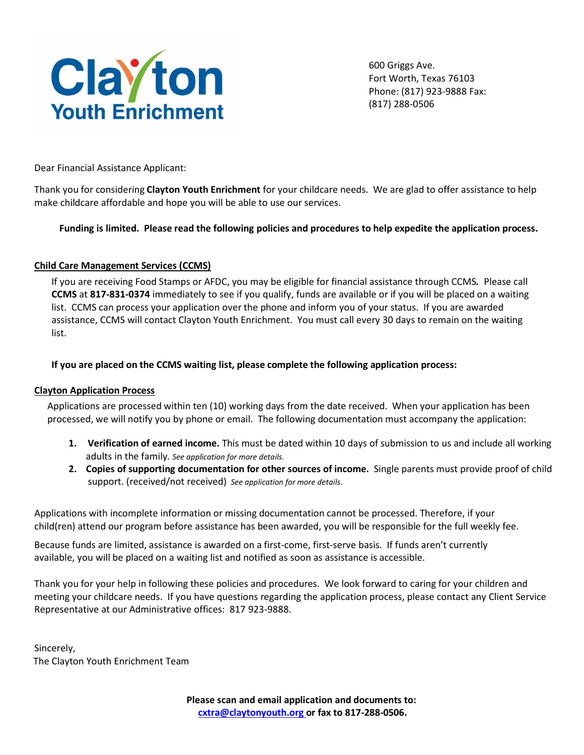

600 Griggs Ave. Fort Worth, Texas 76103 Phone: (817) 923-9888 Fax: (817) 288-0506

Dear Financial Assistance Applicant:

Thank you for considering **Clayton Youth Enrichment** for your childcare needs. We are glad to offer assistance to help make childcare affordable and hope you will be able to use our services.

# **Funding is limited. Please read the following policies and procedures to help expedite the application process.**

# **Child Care Management Services (CCMS)**

If you are receiving Food Stamps or AFDC, you may be eligible for financial assistance through CCMS*.* Please call **CCMS** at **817-831-0374** immediately to see if you qualify, funds are available or if you will be placed on a waiting list. CCMS can process your application over the phone and inform you of your status. If you are awarded assistance, CCMS will contact Clayton Youth Enrichment. You must call every 30 days to remain on the waiting list.

# **If you are placed on the CCMS waiting list, please complete the following application process:**

# **Clayton Application Process**

Applications are processed within ten (10) working days from the date received. When your application has been processed, we will notify you by phone or email. The following documentation must accompany the application:

- **1. Verification of earned income.** This must be dated within 10 days of submission to us and include all working adults in the family*. See application for more details.*
- **2. Copies of supporting documentation for other sources of income.** Single parents must provide proof of child support. (received/not received)*See application for more details.*

Applications with incomplete information or missing documentation cannot be processed. Therefore, if your child(ren) attend our program before assistance has been awarded, you will be responsible for the full weekly fee.

Because funds are limited, assistance is awarded on a first-come, first-serve basis. If funds aren't currently available, you will be placed on a waiting list and notified as soon as assistance is accessible.

Thank you for your help in following these policies and procedures. We look forward to caring for your children and meeting your childcare needs. If you have questions regarding the application process, please contact any Client Service Representative at our Administrative offices: 817 923-9888.

Sincerely, The Clayton Youth Enrichment Team

> **Please scan and email application and documents to: [cxtra@claytonyouth.org o](mailto:cxtra@claytonyouth.org)r fax to 817-288-0506.**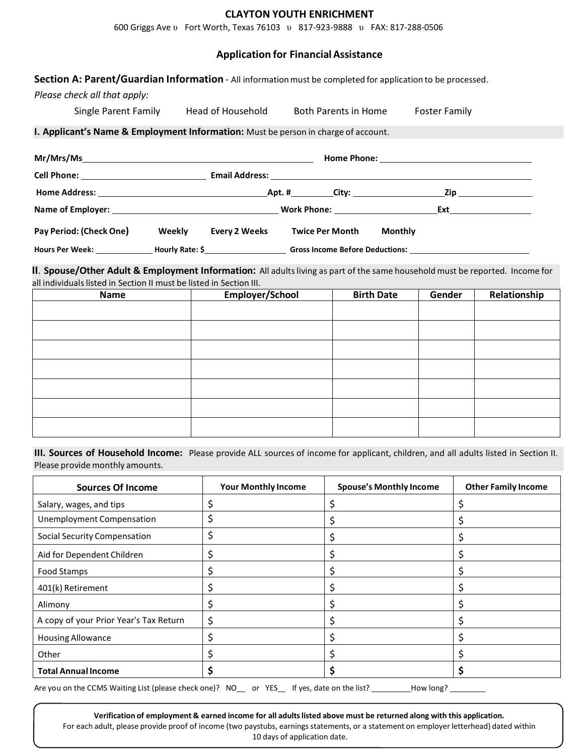#### **CLAYTON YOUTH ENRICHMENT**

600 Griggs Ave υ Fort Worth, Texas 76103 υ 817-923-9888 υ FAX: 817-288-0506

## **Application for Financial Assistance**

**Section A: Parent/Guardian Information** - All information must be completed for application to be processed.

*Please check all that apply:*

| Single Parent Family | Head of Household                                                                  | <b>Both Parents in Home</b>    | <b>Foster Family</b> |  |
|----------------------|------------------------------------------------------------------------------------|--------------------------------|----------------------|--|
|                      | I. Applicant's Name & Employment Information: Must be person in charge of account. |                                |                      |  |
|                      |                                                                                    |                                |                      |  |
|                      |                                                                                    |                                |                      |  |
|                      |                                                                                    |                                |                      |  |
|                      |                                                                                    | <b>Work Phone:</b> Work Phone: | Ext                  |  |

**Pay Period: (Check One) Weekly Every 2 Weeks Twice Per Month Monthly**

**Hours Per Week: Hourly Rate: \$ Gross Income Before Deductions:**

**II**. **Spouse/Other Adult & Employment Information:** All adultsliving as part of the same household must be reported. Income for all individuals listed in Section II must be listed in Section III.

| <b>Name</b> | Employer/School | <b>Birth Date</b> | Gender | Relationship |
|-------------|-----------------|-------------------|--------|--------------|
|             |                 |                   |        |              |
|             |                 |                   |        |              |
|             |                 |                   |        |              |
|             |                 |                   |        |              |
|             |                 |                   |        |              |
|             |                 |                   |        |              |
|             |                 |                   |        |              |
|             |                 |                   |        |              |

**III. Sources of Household Income:** Please provide ALL sources of income for applicant, children, and all adults listed in Section II. Please provide monthly amounts.

| <b>Sources Of Income</b>               | <b>Your Monthly Income</b> | <b>Spouse's Monthly Income</b> | <b>Other Family Income</b> |
|----------------------------------------|----------------------------|--------------------------------|----------------------------|
| Salary, wages, and tips                |                            |                                |                            |
| Unemployment Compensation              |                            |                                |                            |
| <b>Social Security Compensation</b>    |                            |                                |                            |
| Aid for Dependent Children             |                            |                                |                            |
| Food Stamps                            |                            |                                |                            |
| 401(k) Retirement                      |                            |                                |                            |
| Alimony                                |                            |                                |                            |
| A copy of your Prior Year's Tax Return |                            |                                |                            |
| <b>Housing Allowance</b>               |                            |                                |                            |
| Other                                  |                            |                                |                            |
| <b>Total Annual Income</b>             |                            |                                |                            |

Are you on the CCMS Waiting List (please check one)? NO\_\_ or YES\_ If yes, date on the list? \_\_\_\_\_\_\_\_How long? \_

**Verification of employment & earned income for all adultslisted above must be returned along with this application.**

For each adult, please provide proof of income (two paystubs, earnings statements, or a statement on employer letterhead) dated within 10 days of application date.